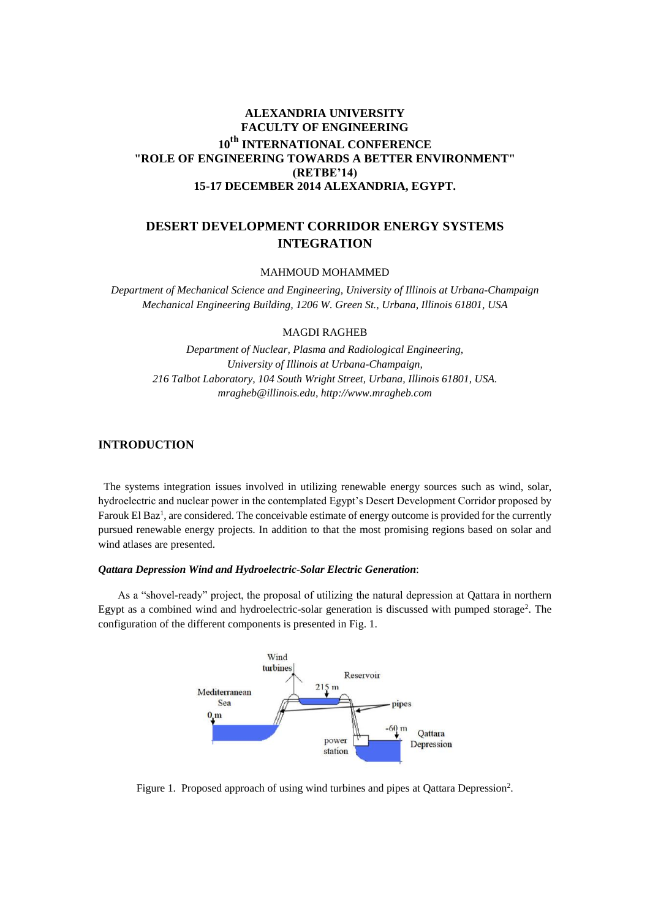# **ALEXANDRIA UNIVERSITY FACULTY OF ENGINEERING 10th INTERNATIONAL CONFERENCE "ROLE OF ENGINEERING TOWARDS A BETTER ENVIRONMENT" (RETBE'14) 15-17 DECEMBER 2014 ALEXANDRIA, EGYPT.**

# **DESERT DEVELOPMENT CORRIDOR ENERGY SYSTEMS INTEGRATION**

MAHMOUD MOHAMMED

*Department of Mechanical Science and Engineering, University of Illinois at Urbana-Champaign Mechanical Engineering Building, 1206 W. Green St., Urbana, Illinois 61801, USA* 

## MAGDI RAGHEB

*Department of Nuclear, Plasma and Radiological Engineering, University of Illinois at Urbana-Champaign, 216 Talbot Laboratory, 104 South Wright Street, Urbana, Illinois 61801, USA. mragheb@illinois.edu, http://www.mragheb.com* 

# **INTRODUCTION**

 The systems integration issues involved in utilizing renewable energy sources such as wind, solar, hydroelectric and nuclear power in the contemplated Egypt's Desert Development Corridor proposed by Farouk El Baz<sup>1</sup>, are considered. The conceivable estimate of energy outcome is provided for the currently pursued renewable energy projects. In addition to that the most promising regions based on solar and wind atlases are presented.

## *Qattara Depression Wind and Hydroelectric-Solar Electric Generation*:

As a "shovel-ready" project, the proposal of utilizing the natural depression at Qattara in northern Egypt as a combined wind and hydroelectric-solar generation is discussed with pumped storage<sup>2</sup>. The configuration of the different components is presented in Fig. 1.



Figure 1. Proposed approach of using wind turbines and pipes at Qattara Depression<sup>2</sup>.